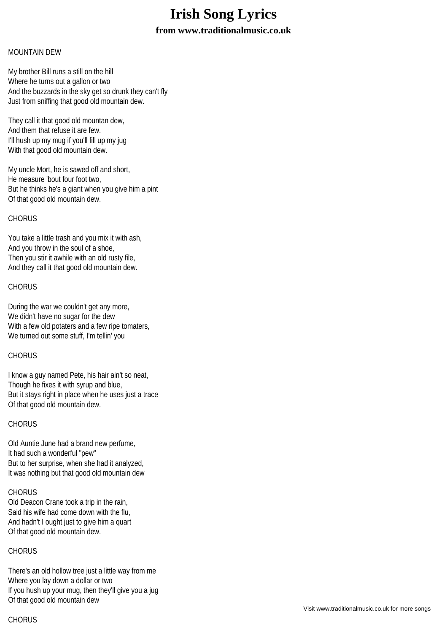# **Irish Song Lyrics**

# **from www.traditionalmusic.co.uk**

#### MOUNTAIN DEW

My brother Bill runs a still on the hill Where he turns out a gallon or two And the buzzards in the sky get so drunk they can't fly Just from sniffing that good old mountain dew.

They call it that good old mountan dew, And them that refuse it are few. I'll hush up my mug if you'll fill up my jug With that good old mountain dew.

My uncle Mort, he is sawed off and short, He measure 'bout four foot two, But he thinks he's a giant when you give him a pint Of that good old mountain dew.

#### CHORUS

You take a little trash and you mix it with ash, And you throw in the soul of a shoe, Then you stir it awhile with an old rusty file, And they call it that good old mountain dew.

### **CHORUS**

During the war we couldn't get any more, We didn't have no sugar for the dew With a few old potaters and a few ripe tomaters, We turned out some stuff, I'm tellin' you

# CHORUS

I know a guy named Pete, his hair ain't so neat, Though he fixes it with syrup and blue, But it stays right in place when he uses just a trace Of that good old mountain dew.

# CHORUS

Old Auntie June had a brand new perfume, It had such a wonderful "pew" But to her surprise, when she had it analyzed, It was nothing but that good old mountain dew

#### **CHORUS**

Old Deacon Crane took a trip in the rain, Said his wife had come down with the flu, And hadn't I ought just to give him a quart Of that good old mountain dew.

# **CHORUS**

There's an old hollow tree just a little way from me Where you lay down a dollar or two If you hush up your mug, then they'll give you a jug Of that good old mountain dew

# **CHORUS**